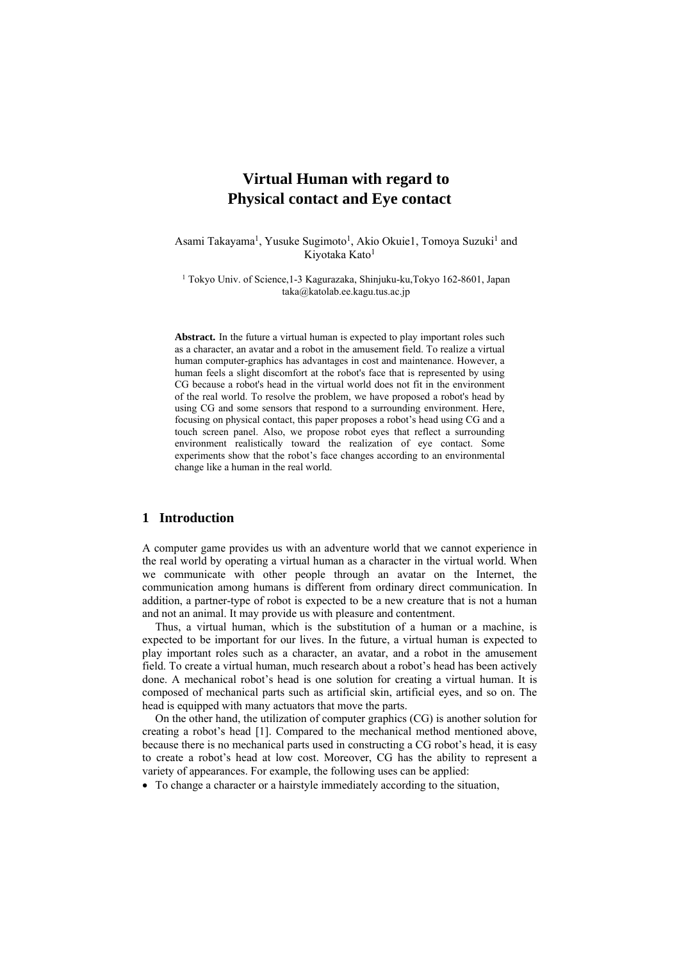# **Virtual Human with regard to Physical contact and Eye contact**

Asami Takayama<sup>1</sup>, Yusuke Sugimoto<sup>1</sup>, Akio Okuie1, Tomoya Suzuki<sup>1</sup> and Kiyotaka Kato<sup>1</sup>

1 Tokyo Univ. of Science,1-3 Kagurazaka, Shinjuku-ku,Tokyo 162-8601, Japan taka@katolab.ee.kagu.tus.ac.jp

**Abstract.** In the future a virtual human is expected to play important roles such as a character, an avatar and a robot in the amusement field. To realize a virtual human computer-graphics has advantages in cost and maintenance. However, a human feels a slight discomfort at the robot's face that is represented by using CG because a robot's head in the virtual world does not fit in the environment of the real world. To resolve the problem, we have proposed a robot's head by using CG and some sensors that respond to a surrounding environment. Here, focusing on physical contact, this paper proposes a robot's head using CG and a touch screen panel. Also, we propose robot eyes that reflect a surrounding environment realistically toward the realization of eye contact. Some experiments show that the robot's face changes according to an environmental change like a human in the real world.

# **1 Introduction**

A computer game provides us with an adventure world that we cannot experience in the real world by operating a virtual human as a character in the virtual world. When we communicate with other people through an avatar on the Internet, the communication among humans is different from ordinary direct communication. In addition, a partner-type of robot is expected to be a new creature that is not a human and not an animal. It may provide us with pleasure and contentment.

Thus, a virtual human, which is the substitution of a human or a machine, is expected to be important for our lives. In the future, a virtual human is expected to play important roles such as a character, an avatar, and a robot in the amusement field. To create a virtual human, much research about a robot's head has been actively done. A mechanical robot's head is one solution for creating a virtual human. It is composed of mechanical parts such as artificial skin, artificial eyes, and so on. The head is equipped with many actuators that move the parts.

On the other hand, the utilization of computer graphics (CG) is another solution for creating a robot's head [1]. Compared to the mechanical method mentioned above, because there is no mechanical parts used in constructing a CG robot's head, it is easy to create a robot's head at low cost. Moreover, CG has the ability to represent a variety of appearances. For example, the following uses can be applied:

• To change a character or a hairstyle immediately according to the situation,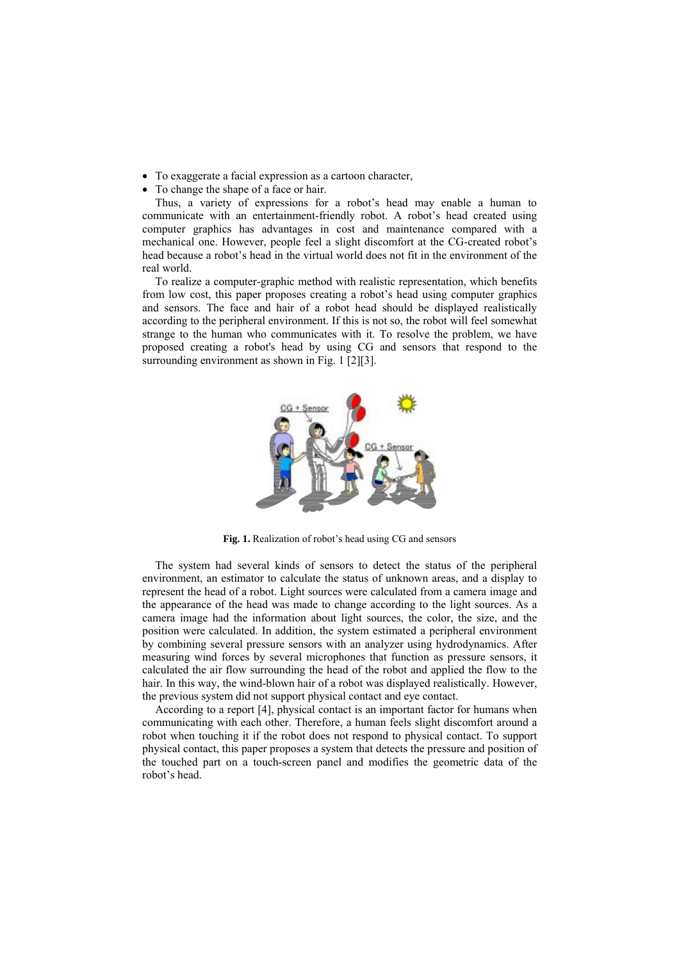- To exaggerate a facial expression as a cartoon character,
- To change the shape of a face or hair.

Thus, a variety of expressions for a robot's head may enable a human to communicate with an entertainment-friendly robot. A robot's head created using computer graphics has advantages in cost and maintenance compared with a mechanical one. However, people feel a slight discomfort at the CG-created robot's head because a robot's head in the virtual world does not fit in the environment of the real world.

To realize a computer-graphic method with realistic representation, which benefits from low cost, this paper proposes creating a robot's head using computer graphics and sensors. The face and hair of a robot head should be displayed realistically according to the peripheral environment. If this is not so, the robot will feel somewhat strange to the human who communicates with it. To resolve the problem, we have proposed creating a robot's head by using CG and sensors that respond to the surrounding environment as shown in Fig. 1 [2][3].



**Fig. 1.** Realization of robot's head using CG and sensors

The system had several kinds of sensors to detect the status of the peripheral environment, an estimator to calculate the status of unknown areas, and a display to represent the head of a robot. Light sources were calculated from a camera image and the appearance of the head was made to change according to the light sources. As a camera image had the information about light sources, the color, the size, and the position were calculated. In addition, the system estimated a peripheral environment by combining several pressure sensors with an analyzer using hydrodynamics. After measuring wind forces by several microphones that function as pressure sensors, it calculated the air flow surrounding the head of the robot and applied the flow to the hair. In this way, the wind-blown hair of a robot was displayed realistically. However, the previous system did not support physical contact and eye contact.

According to a report [4], physical contact is an important factor for humans when communicating with each other. Therefore, a human feels slight discomfort around a robot when touching it if the robot does not respond to physical contact. To support physical contact, this paper proposes a system that detects the pressure and position of the touched part on a touch-screen panel and modifies the geometric data of the robot's head.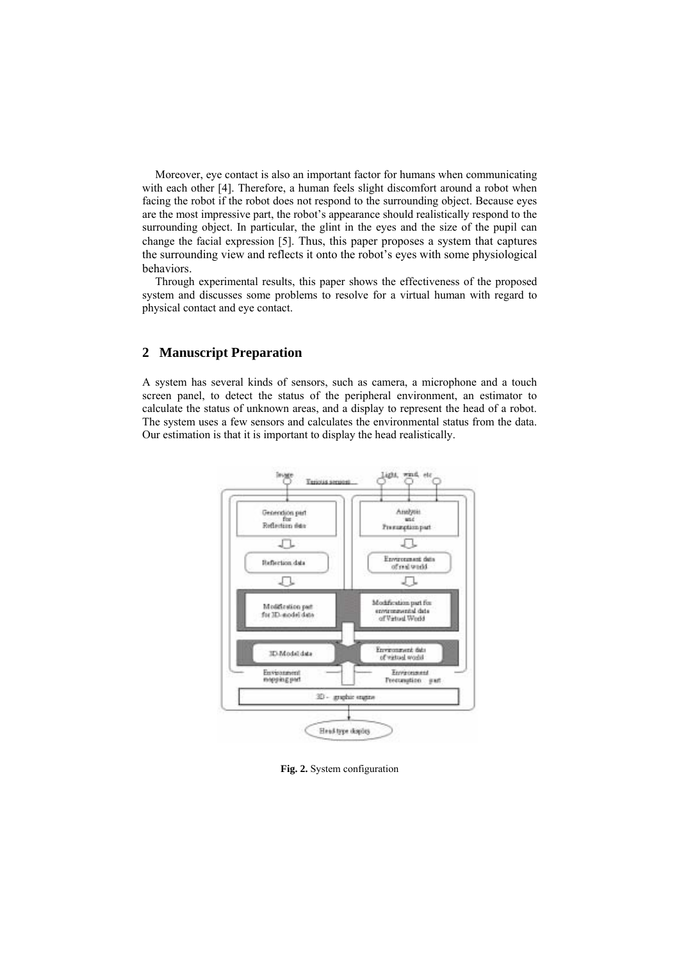Moreover, eye contact is also an important factor for humans when communicating with each other [4]. Therefore, a human feels slight discomfort around a robot when facing the robot if the robot does not respond to the surrounding object. Because eyes are the most impressive part, the robot's appearance should realistically respond to the surrounding object. In particular, the glint in the eyes and the size of the pupil can change the facial expression [5]. Thus, this paper proposes a system that captures the surrounding view and reflects it onto the robot's eyes with some physiological behaviors.

Through experimental results, this paper shows the effectiveness of the proposed system and discusses some problems to resolve for a virtual human with regard to physical contact and eye contact.

# **2 Manuscript Preparation**

A system has several kinds of sensors, such as camera, a microphone and a touch screen panel, to detect the status of the peripheral environment, an estimator to calculate the status of unknown areas, and a display to represent the head of a robot. The system uses a few sensors and calculates the environmental status from the data. Our estimation is that it is important to display the head realistically.



**Fig. 2.** System configuration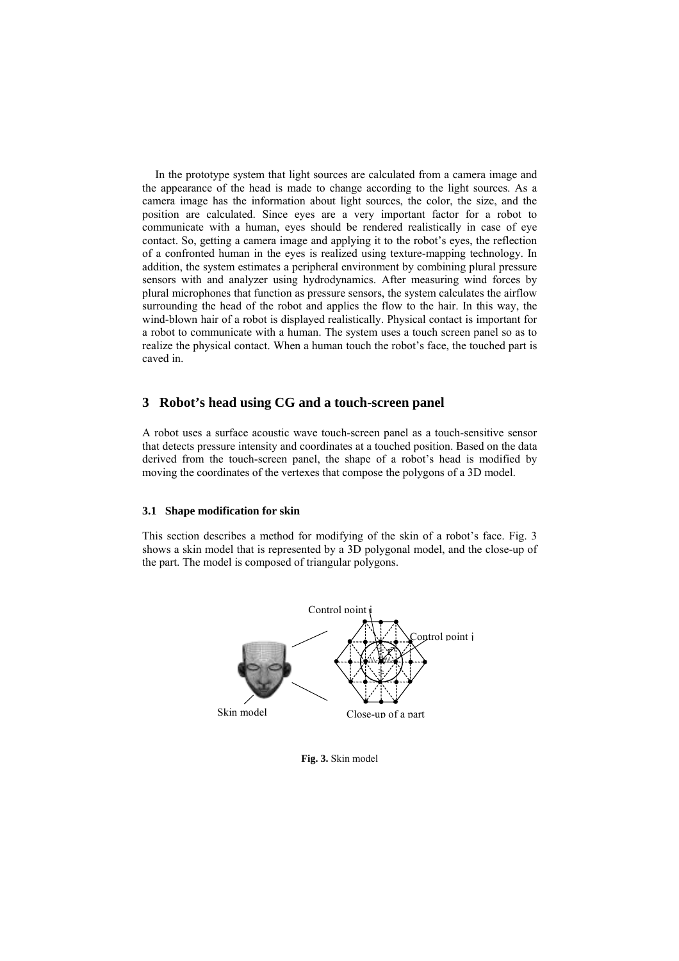In the prototype system that light sources are calculated from a camera image and the appearance of the head is made to change according to the light sources. As a camera image has the information about light sources, the color, the size, and the position are calculated. Since eyes are a very important factor for a robot to communicate with a human, eyes should be rendered realistically in case of eye contact. So, getting a camera image and applying it to the robot's eyes, the reflection of a confronted human in the eyes is realized using texture-mapping technology. In addition, the system estimates a peripheral environment by combining plural pressure sensors with and analyzer using hydrodynamics. After measuring wind forces by plural microphones that function as pressure sensors, the system calculates the airflow surrounding the head of the robot and applies the flow to the hair. In this way, the wind-blown hair of a robot is displayed realistically. Physical contact is important for a robot to communicate with a human. The system uses a touch screen panel so as to realize the physical contact. When a human touch the robot's face, the touched part is caved in.

## **3 Robot's head using CG and a touch-screen panel**

A robot uses a surface acoustic wave touch-screen panel as a touch-sensitive sensor that detects pressure intensity and coordinates at a touched position. Based on the data derived from the touch-screen panel, the shape of a robot's head is modified by moving the coordinates of the vertexes that compose the polygons of a 3D model.

#### **3.1 Shape modification for skin**

This section describes a method for modifying of the skin of a robot's face. Fig. 3 shows a skin model that is represented by a 3D polygonal model, and the close-up of the part. The model is composed of triangular polygons.



**Fig. 3.** Skin model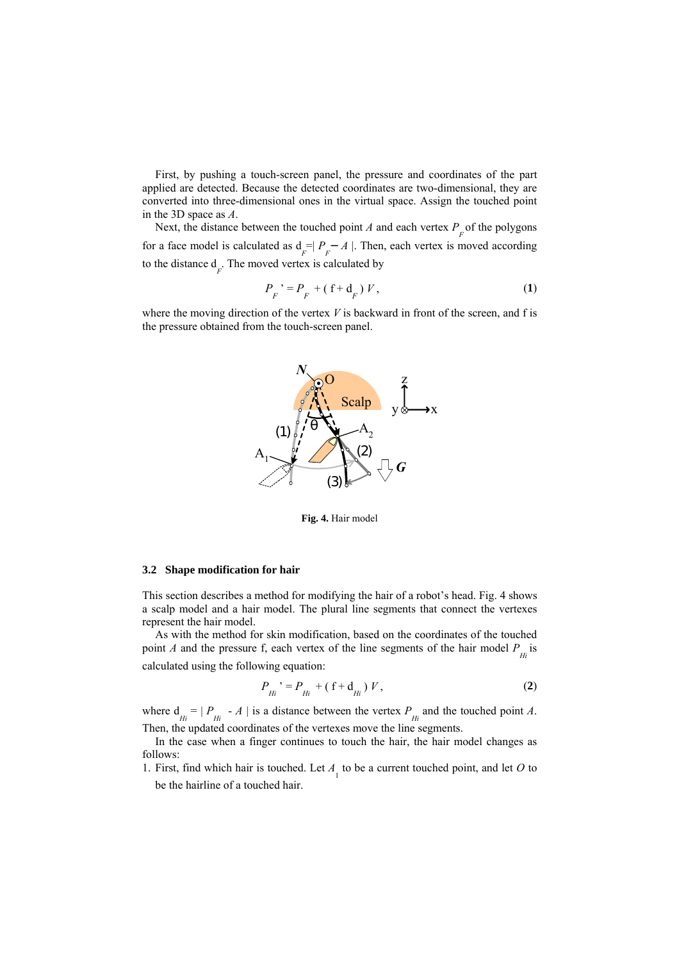First, by pushing a touch-screen panel, the pressure and coordinates of the part applied are detected. Because the detected coordinates are two-dimensional, they are converted into three-dimensional ones in the virtual space. Assign the touched point in the 3D space as *A*.

Next, the distance between the touched point *A* and each vertex  $P<sub>F</sub>$  of the polygons for a face model is calculated as  $d_F = |P_F| / |A|$ . Then, each vertex is moved according to the distance  $d_F$ . The moved vertex is calculated by

$$
P_{F}^{\ \prime} = P_{F}^{\ \} + (f + d_{F})V,\tag{1}
$$

where the moving direction of the vertex *V* is backward in front of the screen, and f is the pressure obtained from the touch-screen panel.



**Fig. 4.** Hair model

### **3.2 Shape modification for hair**

This section describes a method for modifying the hair of a robot's head. Fig. 4 shows a scalp model and a hair model. The plural line segments that connect the vertexes represent the hair model.

As with the method for skin modification, based on the coordinates of the touched point *A* and the pressure f, each vertex of the line segments of the hair model  $P_{Hi}$  is calculated using the following equation:

$$
P_{Hi}^{\quad \, *}=P_{Hi}^{\quad \, *}(f+d_{Hi})V,\tag{2}
$$

where  $d_H = | P_H - A |$  is a distance between the vertex  $P_H$  and the touched point *A*. Then, the updated coordinates of the vertexes move the line segments.

In the case when a finger continues to touch the hair, the hair model changes as follows:

1. First, find which hair is touched. Let  $A_1$  to be a current touched point, and let  $O$  to be the hairline of a touched hair.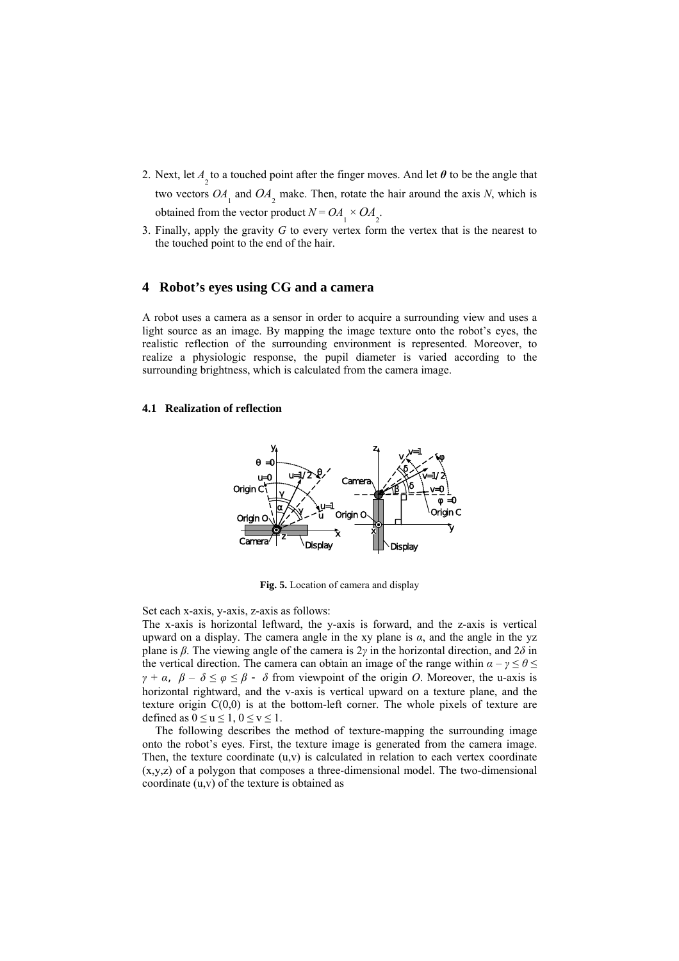- 2. Next, let  $A_2$  to a touched point after the finger moves. And let  $\theta$  to be the angle that two vectors  $OA_1$  and  $OA_2$  make. Then, rotate the hair around the axis *N*, which is obtained from the vector product  $N = OA_1 \times OA_2$ .
- 3. Finally, apply the gravity *G* to every vertex form the vertex that is the nearest to the touched point to the end of the hair.

#### **4 Robot's eyes using CG and a camera**

A robot uses a camera as a sensor in order to acquire a surrounding view and uses a light source as an image. By mapping the image texture onto the robot's eyes, the realistic reflection of the surrounding environment is represented. Moreover, to realize a physiologic response, the pupil diameter is varied according to the surrounding brightness, which is calculated from the camera image.

## **4.1 Realization of reflection**



**Fig. 5.** Location of camera and display

Set each x-axis, y-axis, z-axis as follows:

The x-axis is horizontal leftward, the y-axis is forward, and the z-axis is vertical upward on a display. The camera angle in the xy plane is  $\alpha$ , and the angle in the yz plane is *β*. The viewing angle of the camera is 2*γ* in the horizontal direction, and 2*δ* in the vertical direction. The camera can obtain an image of the range within  $\alpha - \gamma \le \theta \le \pi$ *γ* + *α*,  $β - δ \le φ \le β - δ$  from viewpoint of the origin *O*. Moreover, the u-axis is horizontal rightward, and the v-axis is vertical upward on a texture plane, and the texture origin  $C(0,0)$  is at the bottom-left corner. The whole pixels of texture are defined as  $0 \le u \le 1$ ,  $0 \le v \le 1$ .

The following describes the method of texture-mapping the surrounding image onto the robot's eyes. First, the texture image is generated from the camera image. Then, the texture coordinate  $(u,v)$  is calculated in relation to each vertex coordinate (x,y,z) of a polygon that composes a three-dimensional model. The two-dimensional coordinate (u,v) of the texture is obtained as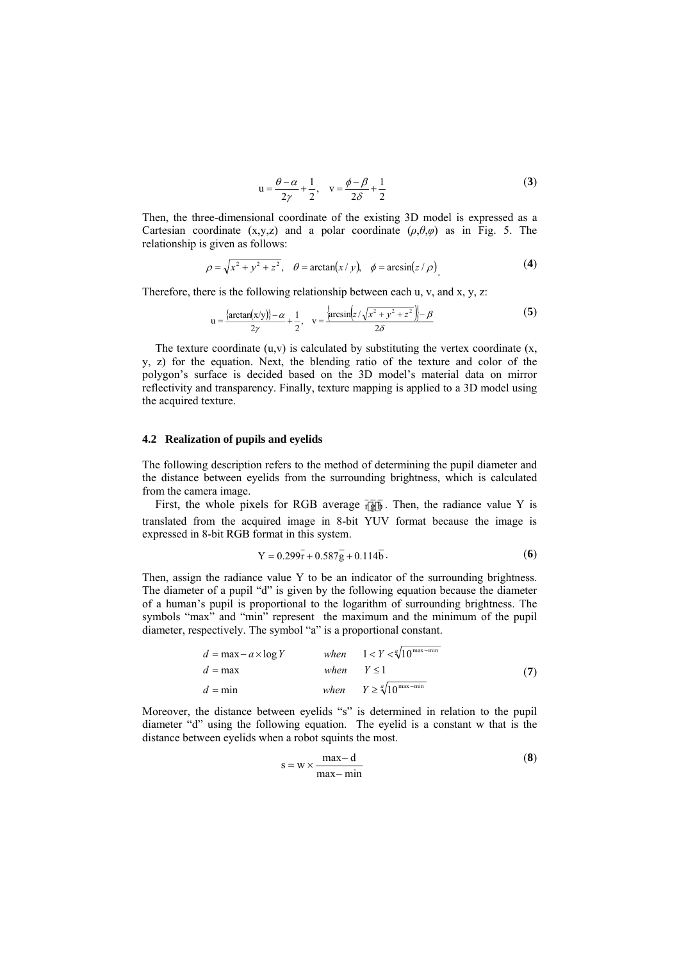$$
u = \frac{\theta - \alpha}{2\gamma} + \frac{1}{2}, \quad v = \frac{\phi - \beta}{2\delta} + \frac{1}{2}
$$
 (3)

Then, the three-dimensional coordinate of the existing 3D model is expressed as a Cartesian coordinate  $(x,y,z)$  and a polar coordinate  $(\rho,\theta,\varphi)$  as in Fig. 5. The relationship is given as follows:

$$
\rho = \sqrt{x^2 + y^2 + z^2}, \quad \theta = \arctan(x/y), \quad \phi = \arcsin(z/\rho)
$$
 (4)

Therefore, there is the following relationship between each u, v, and x, y, z:

$$
u = \frac{\left\{\arctan(x/y)\right\} - \alpha}{2\gamma} + \frac{1}{2}, \quad v = \frac{\left\{\arcsin\left(z/\sqrt{x^2 + y^2 + z^2}\right)\right\} - \beta}{2\delta} \tag{5}
$$

The texture coordinate  $(u, v)$  is calculated by substituting the vertex coordinate  $(x,$ y, z) for the equation. Next, the blending ratio of the texture and color of the polygon's surface is decided based on the 3D model's material data on mirror reflectivity and transparency. Finally, texture mapping is applied to a 3D model using the acquired texture.

#### **4.2 Realization of pupils and eyelids**

The following description refers to the method of determining the pupil diameter and the distance between eyelids from the surrounding brightness, which is calculated from the camera image.

First, the whole pixels for RGB average  $\overline{rgb}$ . Then, the radiance value Y is translated from the acquired image in 8-bit YUV format because the image is expressed in 8-bit RGB format in this system.

$$
Y = 0.299\bar{r} + 0.587\bar{g} + 0.114\bar{b}.
$$
 (6)

Then, assign the radiance value Y to be an indicator of the surrounding brightness. The diameter of a pupil "d" is given by the following equation because the diameter of a human's pupil is proportional to the logarithm of surrounding brightness. The symbols "max" and "min" represent the maximum and the minimum of the pupil diameter, respectively. The symbol "a" is a proportional constant.

$$
d = \max - a \times \log Y \qquad \text{when} \qquad 1 < Y < \sqrt[q]{10^{\max - \min}} \\ d = \max \qquad \text{when} \qquad Y \le 1 \qquad (7) \\ d = \min \qquad \text{when} \qquad Y \ge \sqrt[q]{10^{\max - \min}} \\ \qquad (9)
$$

Moreover, the distance between eyelids "s" is determined in relation to the pupil diameter "d" using the following equation. The eyelid is a constant w that is the distance between eyelids when a robot squints the most.

$$
s = w \times \frac{max - d}{max - min}
$$
 (8)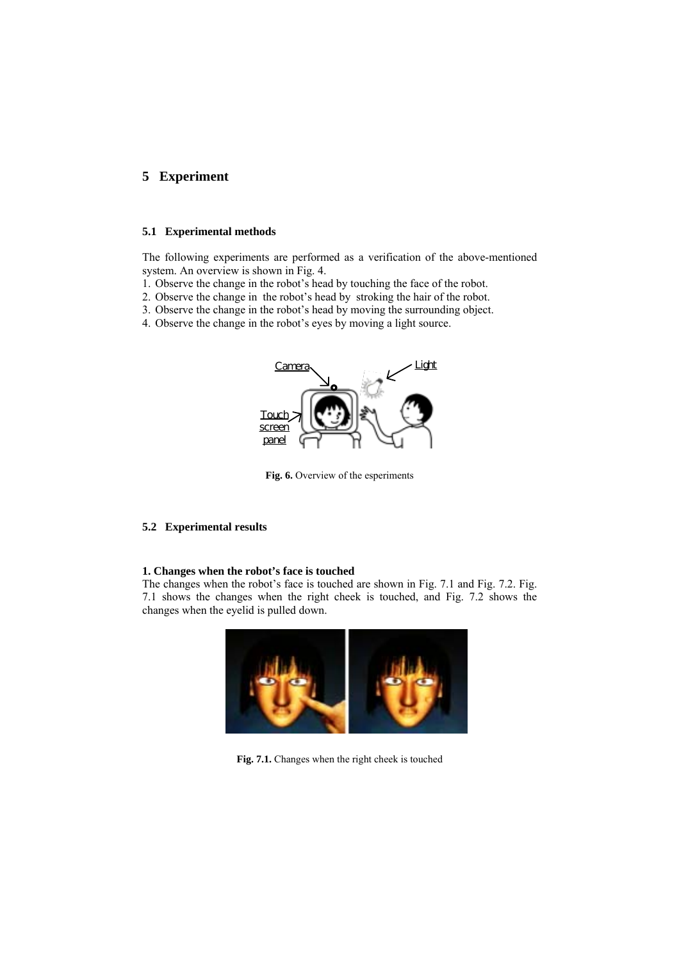# **5 Experiment**

#### **5.1 Experimental methods**

The following experiments are performed as a verification of the above-mentioned system. An overview is shown in Fig. 4.

- 1. Observe the change in the robot's head by touching the face of the robot.
- 2. Observe the change in the robot's head by stroking the hair of the robot.
- 3. Observe the change in the robot's head by moving the surrounding object.
- 4. Observe the change in the robot's eyes by moving a light source.



**Fig. 6.** Overview of the esperiments

### **5.2 Experimental results**

## **1. Changes when the robot's face is touched**

The changes when the robot's face is touched are shown in Fig. 7.1 and Fig. 7.2. Fig. 7.1 shows the changes when the right cheek is touched, and Fig. 7.2 shows the changes when the eyelid is pulled down.



**Fig. 7.1.** Changes when the right cheek is touched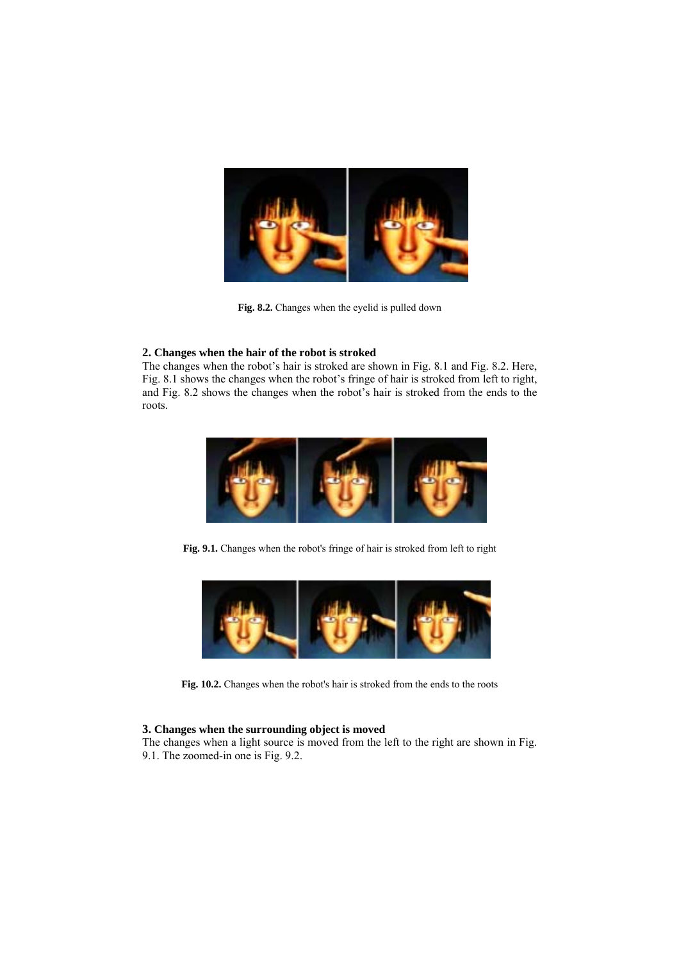

**Fig. 8.2.** Changes when the eyelid is pulled down

### **2. Changes when the hair of the robot is stroked**

The changes when the robot's hair is stroked are shown in Fig. 8.1 and Fig. 8.2. Here, Fig. 8.1 shows the changes when the robot's fringe of hair is stroked from left to right, and Fig. 8.2 shows the changes when the robot's hair is stroked from the ends to the roots.



**Fig. 9.1.** Changes when the robot's fringe of hair is stroked from left to right



Fig. 10.2. Changes when the robot's hair is stroked from the ends to the roots

### **3. Changes when the surrounding object is moved**

The changes when a light source is moved from the left to the right are shown in Fig. 9.1. The zoomed-in one is Fig. 9.2.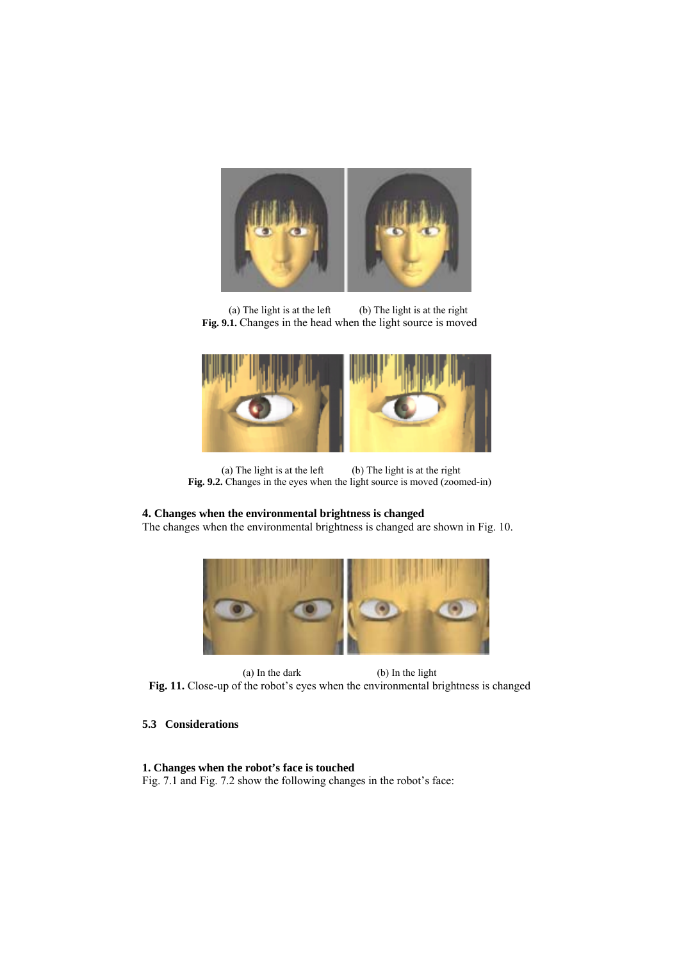

 (a) The light is at the left (b) The light is at the right **Fig. 9.1.** Changes in the head when the light source is moved



 (a) The light is at the left (b) The light is at the right **Fig. 9.2.** Changes in the eyes when the light source is moved (zoomed-in)

**4. Changes when the environmental brightness is changed**  The changes when the environmental brightness is changed are shown in Fig. 10.



(a) In the dark (b) In the light **Fig. 11.** Close-up of the robot's eyes when the environmental brightness is changed

## **5.3 Considerations**

**1. Changes when the robot's face is touched**  Fig. 7.1 and Fig. 7.2 show the following changes in the robot's face: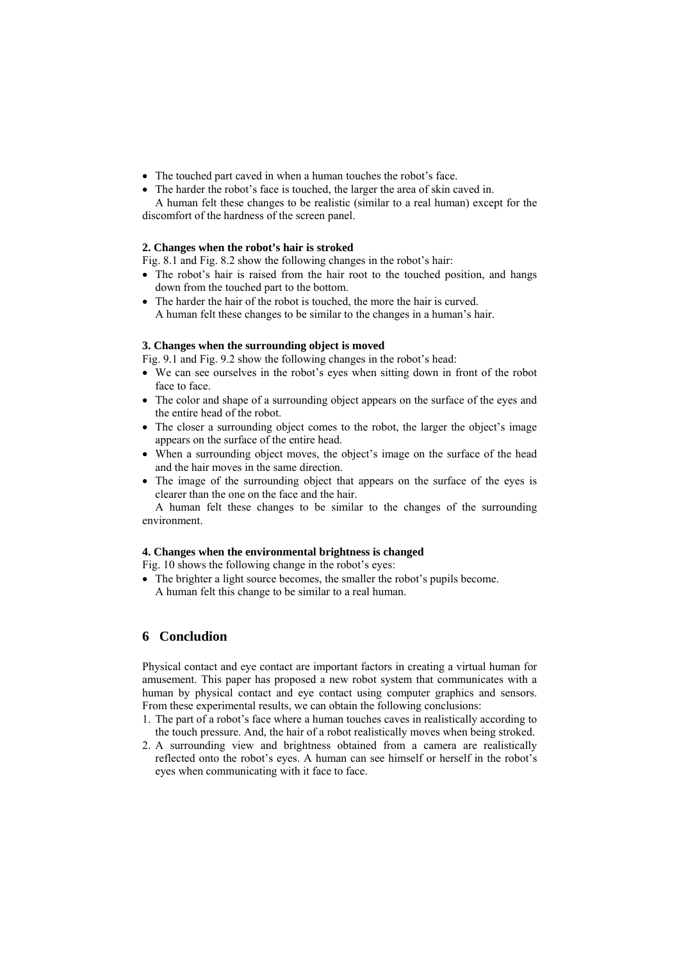- The touched part caved in when a human touches the robot's face.
- The harder the robot's face is touched, the larger the area of skin caved in.

A human felt these changes to be realistic (similar to a real human) except for the discomfort of the hardness of the screen panel.

### **2. Changes when the robot's hair is stroked**

Fig. 8.1 and Fig. 8.2 show the following changes in the robot's hair:

- The robot's hair is raised from the hair root to the touched position, and hangs down from the touched part to the bottom.
- The harder the hair of the robot is touched, the more the hair is curved. A human felt these changes to be similar to the changes in a human's hair.

#### **3. Changes when the surrounding object is moved**

Fig. 9.1 and Fig. 9.2 show the following changes in the robot's head:

- We can see ourselves in the robot's eyes when sitting down in front of the robot face to face.
- The color and shape of a surrounding object appears on the surface of the eyes and the entire head of the robot.
- The closer a surrounding object comes to the robot, the larger the object's image appears on the surface of the entire head.
- When a surrounding object moves, the object's image on the surface of the head and the hair moves in the same direction.
- The image of the surrounding object that appears on the surface of the eyes is clearer than the one on the face and the hair.

A human felt these changes to be similar to the changes of the surrounding environment.

#### **4. Changes when the environmental brightness is changed**

Fig. 10 shows the following change in the robot's eyes:

• The brighter a light source becomes, the smaller the robot's pupils become. A human felt this change to be similar to a real human.

# **6 Concludion**

Physical contact and eye contact are important factors in creating a virtual human for amusement. This paper has proposed a new robot system that communicates with a human by physical contact and eye contact using computer graphics and sensors. From these experimental results, we can obtain the following conclusions:

- 1. The part of a robot's face where a human touches caves in realistically according to the touch pressure. And, the hair of a robot realistically moves when being stroked.
- 2. A surrounding view and brightness obtained from a camera are realistically reflected onto the robot's eyes. A human can see himself or herself in the robot's eyes when communicating with it face to face.